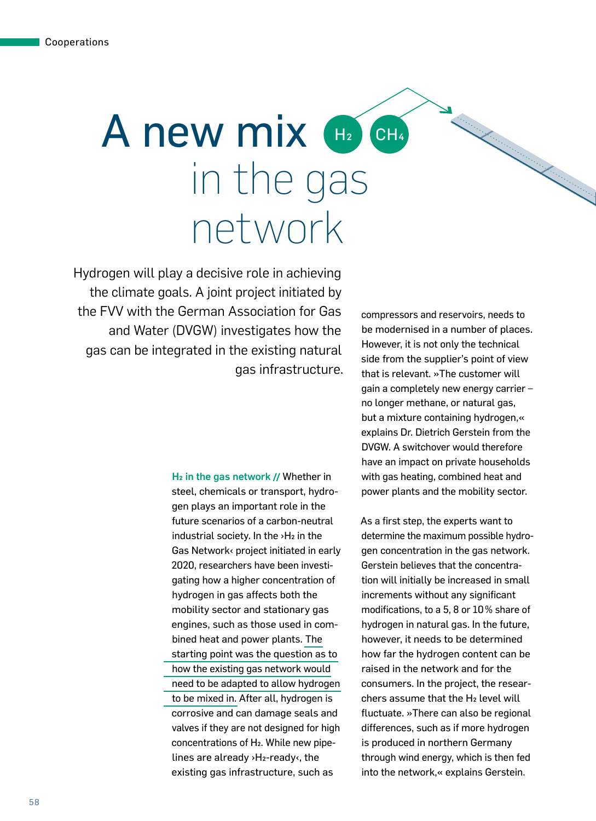# in the gas network A new mix  $H_2$   $CH_4$

Hydrogen will play a decisive role in achieving the climate goals. A joint project initiated by the FVV with the German Association for Gas and Water (DVGW) investigates how the gas can be integrated in the existing natural gas infrastructure.

> H2 in the gas network**||** Whether in steel, chemicals or transport, hydrogen plays an important role in the future scenarios of a carbon-neutral industrial society. In the ›H2 in the Gas Network‹ project initiated in early 2020, researchers have been investigating how a higher concentration of hydrogen in gas affects both the mobility sector and stationary gas engines, such as those used in combined heat and power plants. The starting point was the question as to how the existing gas network would need to be adapted to allow hydrogen to be mixed in. After all, hydrogen is corrosive and can damage seals and valves if they are not designed for high concentrations of H<sub>2</sub>. While new pipelines are already ›H2-ready‹, the existing gas infrastructure, such as

compressors and reservoirs, needs to be modernised in a number of places. However, it is not only the technical side from the supplier's point of view that is relevant. »The customer will gain a completely new energy carrier – no longer methane, or natural gas, but a mixture containing hydrogen,« explains Dr. Dietrich Gerstein from the DVGW. A switchover would therefore have an impact on private households with gas heating, combined heat and power plants and the mobility sector.

Construction of the Construction of the Construction of the Construction of the Construction of the Construction of the Construction of the Construction of the Construction of the Construction of the Construction of the Co

As a first step, the experts want to determine the maximum possible hydrogen concentration in the gas network. Gerstein believes that the concentration will initially be increased in small increments without any significant modifications, to a 5, 8 or 10% share of hydrogen in natural gas. In the future, however, it needs to be determined how far the hydrogen content can be raised in the network and for the consumers. In the project, the researchers assume that the H<sub>2</sub> level will fluctuate. »There can also be regional differences, such as if more hydrogen is produced in northern Germany through wind energy, which is then fed into the network,« explains Gerstein.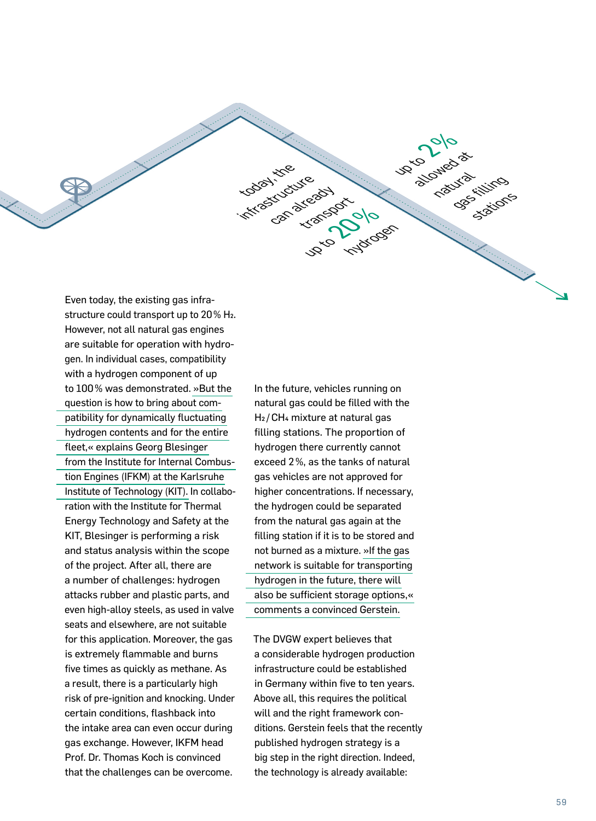Even today, the existing gas infrastructure could transport up to 20% H2. However, not all natural gas engines are suitable for operation with hydrogen. In individual cases, compatibility with a hydrogen component of up to 100% was demonstrated. »But the question is how to bring about compatibility for dynamically fluctuating hydrogen contents and for the entire fleet,« explains Georg Blesinger from the Institute for Internal Combustion Engines (IFKM) at the Karlsruhe Institute of Technology (KIT). In collaboration with the Institute for Thermal Energy Technology and Safety at the KIT, Blesinger is performing a risk and status analysis within the scope of the project. After all, there are a number of challenges: hydrogen attacks rubber and plastic parts, and even high-alloy steels, as used in valve seats and elsewhere, are not suitable for this application. Moreover, the gas is extremely flammable and burns five times as quickly as methane. As a result, there is a particularly high risk of pre-ignition and knocking. Under certain conditions, flashback into the intake area can even occur during gas exchange. However, IKFM head Prof. Dr. Thomas Koch is convinced that the challenges can be overcome.

In the future, vehicles running on natural gas could be filled with the H2 /CH4 mixture at natural gas filling stations. The proportion of hydrogen there currently cannot exceed 2%, as the tanks of natural gas vehicles are not approved for higher concentrations. If necessary, the hydrogen could be separated from the natural gas again at the filling station if it is to be stored and not burned as a mixture. »If the gas network is suitable for transporting hydrogen in the future, there will also be sufficient storage options,« comments a convinced Gerstein.

today, the

today i ctute od transport

uarspoolo

up to 2% old

allowed at

m cauta Kilifo

slidens

The DVGW expert believes that a considerable hydrogen production infrastructure could be established in Germany within five to ten years. Above all, this requires the political will and the right framework conditions. Gerstein feels that the recently published hydrogen strategy is a big step in the right direction. Indeed, the technology is already available: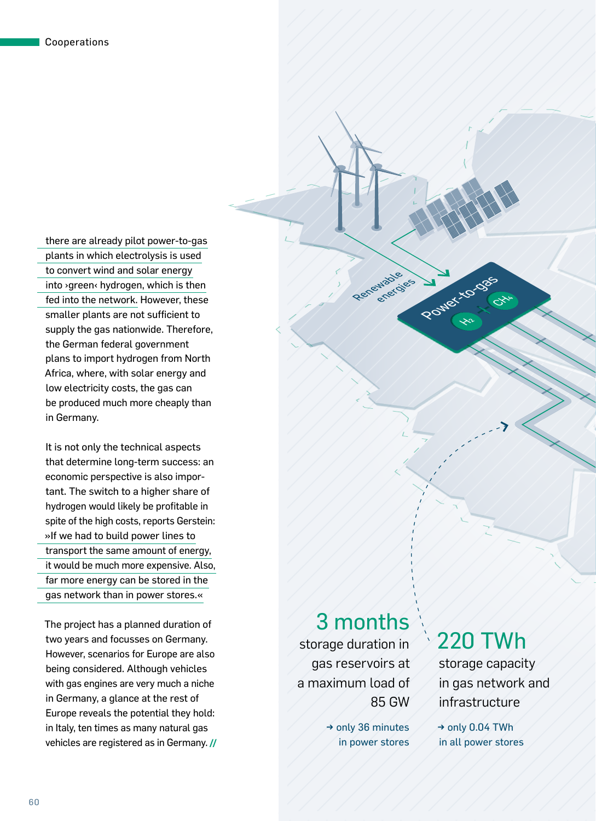there are already pilot power-to-gas plants in which electrolysis is used to convert wind and solar energy into ›green‹ hydrogen, which is then fed into the network. However, these smaller plants are not sufficient to supply the gas nationwide. Therefore, the German federal government plans to import hydrogen from North Africa, where, with solar energy and low electricity costs, the gas can be produced much more cheaply than in Germany.

It is not only the technical aspects that determine long-term success: an economic perspective is also important. The switch to a higher share of hydrogen would likely be profitable in spite of the high costs, reports Gerstein: »If we had to build power lines to transport the same amount of energy, it would be much more expensive. Also, far more energy can be stored in the gas network than in power stores.«

The project has a planned duration of two years and focusses on Germany. However, scenarios for Europe are also being considered. Although vehicles with gas engines are very much a niche in Germany, a glance at the rest of Europe reveals the potential they hold: in Italy, ten times as many natural gas vehicles are registered as in Germany.**||**

### 3 months

Renewable energies

storage duration in gas reservoirs at a maximum load of 85 GW

> → only 36 minutes in power stores

## 220 TWh

Power-to-gas

storage capacity in gas network and infrastructure

 $\rightarrow$  only 0.04 TWh in all power stores